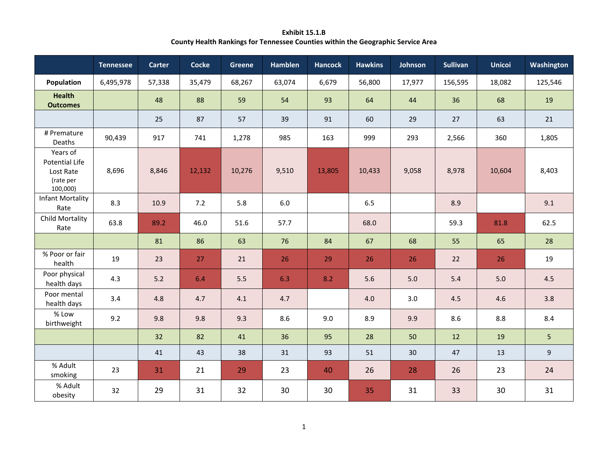**Exhibit 15.1.B County Health Rankings for Tennessee Counties within the Geographic Service Area**

|                                                                  | <b>Tennessee</b> | Carter | <b>Cocke</b> | <b>Greene</b> | <b>Hamblen</b> | <b>Hancock</b> | <b>Hawkins</b> | Johnson | <b>Sullivan</b> | <b>Unicoi</b> | Washington     |
|------------------------------------------------------------------|------------------|--------|--------------|---------------|----------------|----------------|----------------|---------|-----------------|---------------|----------------|
| Population                                                       | 6,495,978        | 57,338 | 35,479       | 68,267        | 63,074         | 6,679          | 56,800         | 17,977  | 156,595         | 18,082        | 125,546        |
| <b>Health</b><br><b>Outcomes</b>                                 |                  | 48     | 88           | 59            | 54             | 93             | 64             | 44      | 36              | 68            | 19             |
|                                                                  |                  | 25     | 87           | 57            | 39             | 91             | 60             | 29      | 27              | 63            | 21             |
| # Premature<br>Deaths                                            | 90,439           | 917    | 741          | 1,278         | 985            | 163            | 999            | 293     | 2,566           | 360           | 1,805          |
| Years of<br>Potential Life<br>Lost Rate<br>(rate per<br>100,000) | 8,696            | 8,846  | 12,132       | 10,276        | 9,510          | 13,805         | 10,433         | 9,058   | 8,978           | 10,604        | 8,403          |
| <b>Infant Mortality</b><br>Rate                                  | 8.3              | 10.9   | 7.2          | 5.8           | 6.0            |                | 6.5            |         | 8.9             |               | 9.1            |
| Child Mortality<br>Rate                                          | 63.8             | 89.2   | 46.0         | 51.6          | 57.7           |                | 68.0           |         | 59.3            | 81.8          | 62.5           |
|                                                                  |                  | 81     | 86           | 63            | 76             | 84             | 67             | 68      | 55              | 65            | 28             |
| % Poor or fair<br>health                                         | 19               | 23     | 27           | 21            | 26             | 29             | 26             | 26      | 22              | 26            | 19             |
| Poor physical<br>health days                                     | 4.3              | 5.2    | 6.4          | 5.5           | 6.3            | 8.2            | 5.6            | 5.0     | 5.4             | 5.0           | 4.5            |
| Poor mental<br>health days                                       | 3.4              | 4.8    | 4.7          | 4.1           | 4.7            |                | 4.0            | 3.0     | 4.5             | 4.6           | 3.8            |
| % Low<br>birthweight                                             | 9.2              | 9.8    | 9.8          | 9.3           | 8.6            | 9.0            | 8.9            | 9.9     | 8.6             | 8.8           | 8.4            |
|                                                                  |                  | 32     | 82           | 41            | 36             | 95             | 28             | 50      | 12              | 19            | 5              |
|                                                                  |                  | 41     | 43           | 38            | 31             | 93             | 51             | 30      | 47              | 13            | $\overline{9}$ |
| % Adult<br>smoking                                               | 23               | 31     | 21           | 29            | 23             | 40             | 26             | 28      | 26              | 23            | 24             |
| % Adult<br>obesity                                               | 32               | 29     | 31           | 32            | 30             | 30             | 35             | 31      | 33              | 30            | 31             |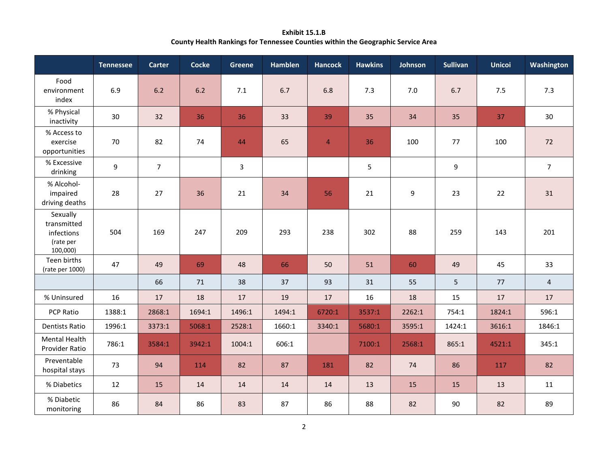**Exhibit 15.1.B County Health Rankings for Tennessee Counties within the Geographic Service Area**

|                                                                | <b>Tennessee</b> | Carter         | Cocke  | Greene       | <b>Hamblen</b> | <b>Hancock</b> | <b>Hawkins</b> | Johnson | <b>Sullivan</b> | <b>Unicoi</b> | Washington     |
|----------------------------------------------------------------|------------------|----------------|--------|--------------|----------------|----------------|----------------|---------|-----------------|---------------|----------------|
| Food<br>environment<br>index                                   | 6.9              | 6.2            | 6.2    | 7.1          | 6.7            | 6.8            | 7.3            | 7.0     | 6.7             | 7.5           | 7.3            |
| % Physical<br>inactivity                                       | 30               | 32             | 36     | 36           | 33             | 39             | 35             | 34      | 35              | 37            | 30             |
| % Access to<br>exercise<br>opportunities                       | 70               | 82             | 74     | 44           | 65             | $\overline{4}$ | 36             | 100     | 77              | 100           | 72             |
| % Excessive<br>drinking                                        | $9\,$            | $\overline{7}$ |        | $\mathbf{3}$ |                |                | 5              |         | 9               |               | $\overline{7}$ |
| % Alcohol-<br>impaired<br>driving deaths                       | 28               | 27             | 36     | 21           | 34             | 56             | 21             | 9       | 23              | 22            | 31             |
| Sexually<br>transmitted<br>infections<br>(rate per<br>100,000) | 504              | 169            | 247    | 209          | 293            | 238            | 302            | 88      | 259             | 143           | 201            |
| Teen births<br>(rate per 1000)                                 | 47               | 49             | 69     | 48           | 66             | 50             | 51             | 60      | 49              | 45            | 33             |
|                                                                |                  | 66             | 71     | 38           | 37             | 93             | 31             | 55      | 5               | 77            | $\overline{4}$ |
| % Uninsured                                                    | 16               | 17             | 18     | 17           | 19             | 17             | 16             | 18      | 15              | 17            | 17             |
| PCP Ratio                                                      | 1388:1           | 2868:1         | 1694:1 | 1496:1       | 1494:1         | 6720:1         | 3537:1         | 2262:1  | 754:1           | 1824:1        | 596:1          |
| <b>Dentists Ratio</b>                                          | 1996:1           | 3373:1         | 5068:1 | 2528:1       | 1660:1         | 3340:1         | 5680:1         | 3595:1  | 1424:1          | 3616:1        | 1846:1         |
| Mental Health<br>Provider Ratio                                | 786:1            | 3584:1         | 3942:1 | 1004:1       | 606:1          |                | 7100:1         | 2568:1  | 865:1           | 4521:1        | 345:1          |
| Preventable<br>hospital stays                                  | 73               | 94             | 114    | 82           | 87             | 181            | 82             | 74      | 86              | 117           | 82             |
| % Diabetics                                                    | 12               | 15             | 14     | 14           | 14             | 14             | 13             | 15      | 15              | 13            | 11             |
| % Diabetic<br>monitoring                                       | 86               | 84             | 86     | 83           | 87             | 86             | 88             | 82      | 90              | 82            | 89             |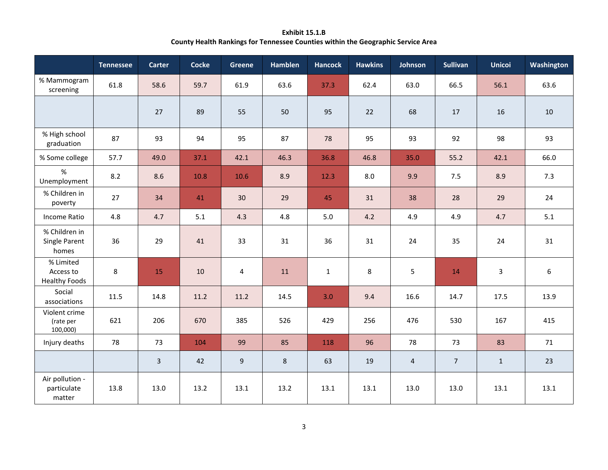**Exhibit 15.1.B County Health Rankings for Tennessee Counties within the Geographic Service Area**

|                                                | <b>Tennessee</b> | Carter         | <b>Cocke</b> | <b>Greene</b> | <b>Hamblen</b> | <b>Hancock</b> | <b>Hawkins</b> | Johnson        | <b>Sullivan</b> | <b>Unicoi</b>  | Washington |
|------------------------------------------------|------------------|----------------|--------------|---------------|----------------|----------------|----------------|----------------|-----------------|----------------|------------|
| % Mammogram<br>screening                       | 61.8             | 58.6           | 59.7         | 61.9          | 63.6           | 37.3           | 62.4           | 63.0           | 66.5            | 56.1           | 63.6       |
|                                                |                  | 27             | 89           | 55            | 50             | 95             | 22             | 68             | 17              | 16             | 10         |
| % High school<br>graduation                    | 87               | 93             | 94           | 95            | 87             | 78             | 95             | 93             | 92              | 98             | 93         |
| % Some college                                 | 57.7             | 49.0           | 37.1         | 42.1          | 46.3           | 36.8           | 46.8           | 35.0           | 55.2            | 42.1           | 66.0       |
| %<br>Unemployment                              | 8.2              | 8.6            | 10.8         | 10.6          | 8.9            | 12.3           | 8.0            | 9.9            | 7.5             | 8.9            | 7.3        |
| % Children in<br>poverty                       | 27               | 34             | 41           | 30            | 29             | 45             | 31             | 38             | 28              | 29             | 24         |
| Income Ratio                                   | 4.8              | 4.7            | 5.1          | 4.3           | 4.8            | 5.0            | 4.2            | 4.9            | 4.9             | 4.7            | 5.1        |
| % Children in<br>Single Parent<br>homes        | 36               | 29             | 41           | 33            | 31             | 36             | 31             | 24             | 35              | 24             | 31         |
| % Limited<br>Access to<br><b>Healthy Foods</b> | 8                | 15             | 10           | 4             | 11             | $\mathbf{1}$   | 8              | 5              | 14              | $\overline{3}$ | 6          |
| Social<br>associations                         | 11.5             | 14.8           | 11.2         | 11.2          | 14.5           | 3.0            | 9.4            | 16.6           | 14.7            | 17.5           | 13.9       |
| Violent crime<br>(rate per<br>100,000)         | 621              | 206            | 670          | 385           | 526            | 429            | 256            | 476            | 530             | 167            | 415        |
| Injury deaths                                  | 78               | 73             | 104          | 99            | 85             | 118            | 96             | 78             | 73              | 83             | 71         |
|                                                |                  | $\overline{3}$ | 42           | 9             | 8              | 63             | 19             | $\overline{4}$ | $\overline{7}$  | $\mathbf{1}$   | 23         |
| Air pollution -<br>particulate<br>matter       | 13.8             | 13.0           | 13.2         | 13.1          | 13.2           | 13.1           | 13.1           | 13.0           | 13.0            | 13.1           | 13.1       |